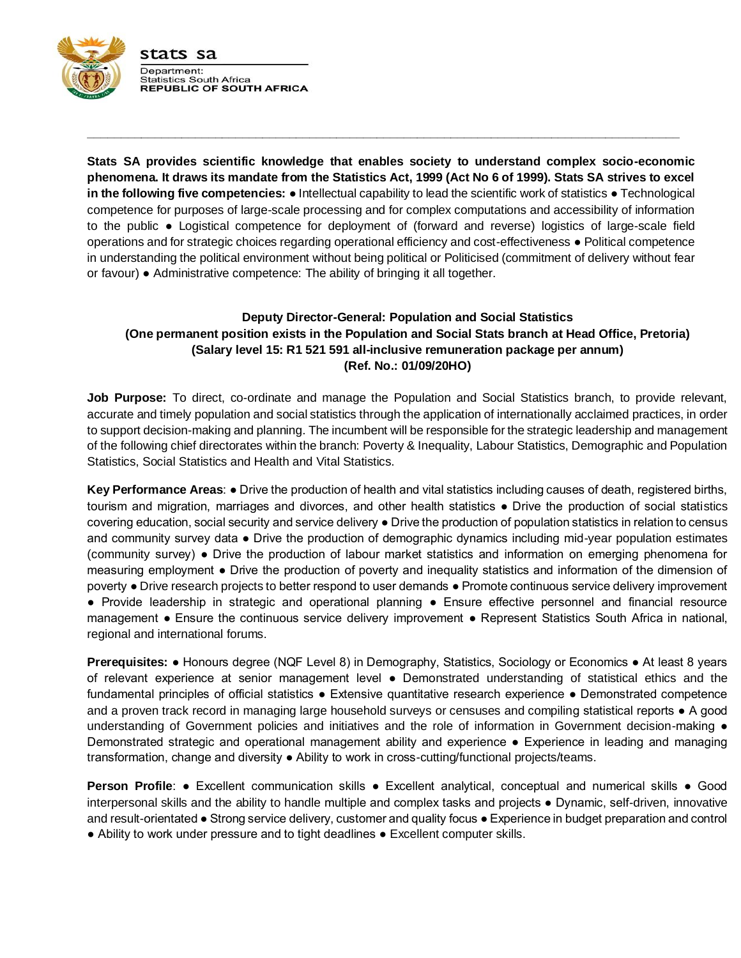

**Stats SA provides scientific knowledge that enables society to understand complex socio-economic phenomena. It draws its mandate from the Statistics Act, 1999 (Act No 6 of 1999). Stats SA strives to excel in the following five competencies:** ● Intellectual capability to lead the scientific work of statistics ● Technological competence for purposes of large-scale processing and for complex computations and accessibility of information to the public ● Logistical competence for deployment of (forward and reverse) logistics of large-scale field operations and for strategic choices regarding operational efficiency and cost-effectiveness ● Political competence in understanding the political environment without being political or Politicised (commitment of delivery without fear or favour) ● Administrative competence: The ability of bringing it all together.

**\_\_\_\_\_\_\_\_\_\_\_\_\_\_\_\_\_\_\_\_\_\_\_\_\_\_\_\_\_\_\_\_\_\_\_\_\_\_\_\_\_\_\_\_\_\_\_\_\_\_\_\_\_\_\_\_\_\_\_\_\_\_\_\_\_\_\_\_\_\_\_\_\_\_\_\_\_\_\_\_\_\_\_\_\_\_\_\_**

# **Deputy Director-General: Population and Social Statistics (One permanent position exists in the Population and Social Stats branch at Head Office, Pretoria) (Salary level 15: R1 521 591 all-inclusive remuneration package per annum) (Ref. No.: 01/09/20HO)**

**Job Purpose:** To direct, co-ordinate and manage the Population and Social Statistics branch, to provide relevant, accurate and timely population and social statistics through the application of internationally acclaimed practices, in order to support decision-making and planning. The incumbent will be responsible for the strategic leadership and management of the following chief directorates within the branch: Poverty & Inequality, Labour Statistics, Demographic and Population Statistics, Social Statistics and Health and Vital Statistics.

**Key Performance Areas**: ● Drive the production of health and vital statistics including causes of death, registered births, tourism and migration, marriages and divorces, and other health statistics ● Drive the production of social statistics covering education, social security and service delivery ● Drive the production of population statistics in relation to census and community survey data • Drive the production of demographic dynamics including mid-year population estimates (community survey) ● Drive the production of labour market statistics and information on emerging phenomena for measuring employment ● Drive the production of poverty and inequality statistics and information of the dimension of poverty ● Drive research projects to better respond to user demands ● Promote continuous service delivery improvement ● Provide leadership in strategic and operational planning ● Ensure effective personnel and financial resource management ● Ensure the continuous service delivery improvement ● Represent Statistics South Africa in national, regional and international forums.

**Prerequisites:** ● Honours degree (NQF Level 8) in Demography, Statistics, Sociology or Economics ● At least 8 years of relevant experience at senior management level ● Demonstrated understanding of statistical ethics and the fundamental principles of official statistics ● Extensive quantitative research experience ● Demonstrated competence and a proven track record in managing large household surveys or censuses and compiling statistical reports • A good understanding of Government policies and initiatives and the role of information in Government decision-making  $\bullet$ Demonstrated strategic and operational management ability and experience ● Experience in leading and managing transformation, change and diversity ● Ability to work in cross-cutting/functional projects/teams.

**Person Profile**: • Excellent communication skills • Excellent analytical, conceptual and numerical skills • Good interpersonal skills and the ability to handle multiple and complex tasks and projects ● Dynamic, self-driven, innovative and result-orientated ● Strong service delivery, customer and quality focus ● Experience in budget preparation and control ● Ability to work under pressure and to tight deadlines ● Excellent computer skills.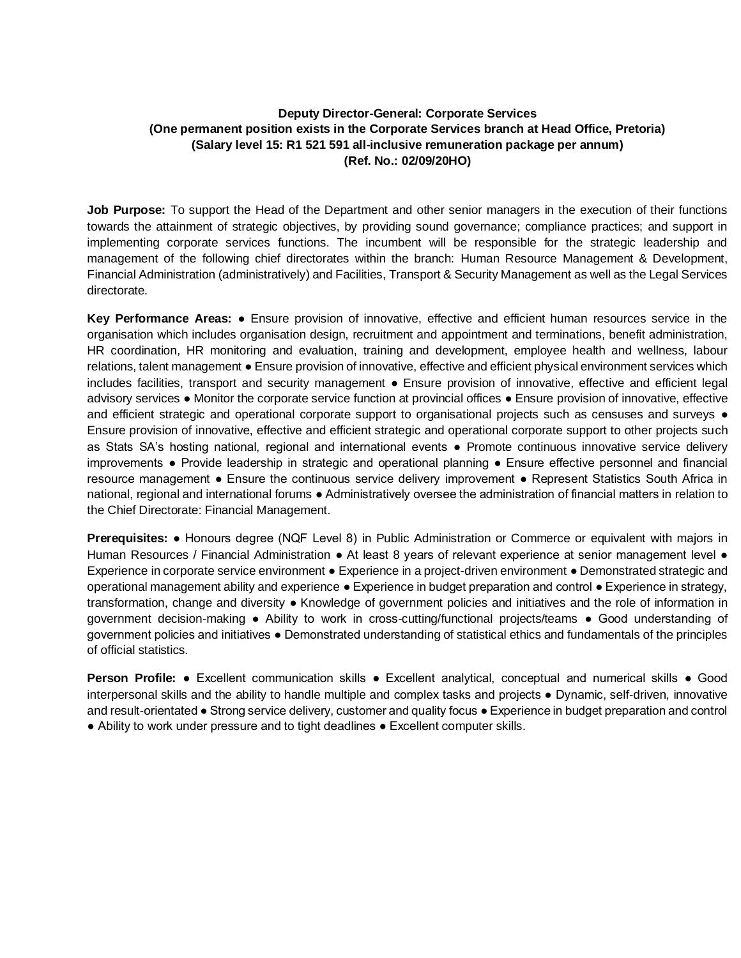# **Deputy Director-General: Corporate Services (One permanent position exists in the Corporate Services branch at Head Office, Pretoria) (Salary level 15: R1 521 591 all-inclusive remuneration package per annum) (Ref. No.: 02/09/20HO)**

**Job Purpose:** To support the Head of the Department and other senior managers in the execution of their functions towards the attainment of strategic objectives, by providing sound governance; compliance practices; and support in implementing corporate services functions. The incumbent will be responsible for the strategic leadership and management of the following chief directorates within the branch: Human Resource Management & Development, Financial Administration (administratively) and Facilities, Transport & Security Management as well as the Legal Services directorate.

**Key Performance Areas:** ● Ensure provision of innovative, effective and efficient human resources service in the organisation which includes organisation design, recruitment and appointment and terminations, benefit administration, HR coordination, HR monitoring and evaluation, training and development, employee health and wellness, labour relations, talent management ● Ensure provision of innovative, effective and efficient physical environment services which includes facilities, transport and security management ● Ensure provision of innovative, effective and efficient legal advisory services ● Monitor the corporate service function at provincial offices ● Ensure provision of innovative, effective and efficient strategic and operational corporate support to organisational projects such as censuses and surveys  $\bullet$ Ensure provision of innovative, effective and efficient strategic and operational corporate support to other projects such as Stats SA's hosting national, regional and international events ● Promote continuous innovative service delivery improvements ● Provide leadership in strategic and operational planning ● Ensure effective personnel and financial resource management ● Ensure the continuous service delivery improvement ● Represent Statistics South Africa in national, regional and international forums ● Administratively oversee the administration of financial matters in relation to the Chief Directorate: Financial Management.

**Prerequisites:** ● Honours degree (NQF Level 8) in Public Administration or Commerce or equivalent with majors in Human Resources / Financial Administration ● At least 8 years of relevant experience at senior management level ● Experience in corporate service environment ● Experience in a project-driven environment ● Demonstrated strategic and operational management ability and experience ● Experience in budget preparation and control ● Experience in strategy, transformation, change and diversity ● Knowledge of government policies and initiatives and the role of information in government decision-making ● Ability to work in cross-cutting/functional projects/teams ● Good understanding of government policies and initiatives ● Demonstrated understanding of statistical ethics and fundamentals of the principles of official statistics.

**Person Profile:** ● Excellent communication skills ● Excellent analytical, conceptual and numerical skills ● Good interpersonal skills and the ability to handle multiple and complex tasks and projects ● Dynamic, self-driven, innovative and result-orientated ● Strong service delivery, customer and quality focus ● Experience in budget preparation and control ● Ability to work under pressure and to tight deadlines ● Excellent computer skills.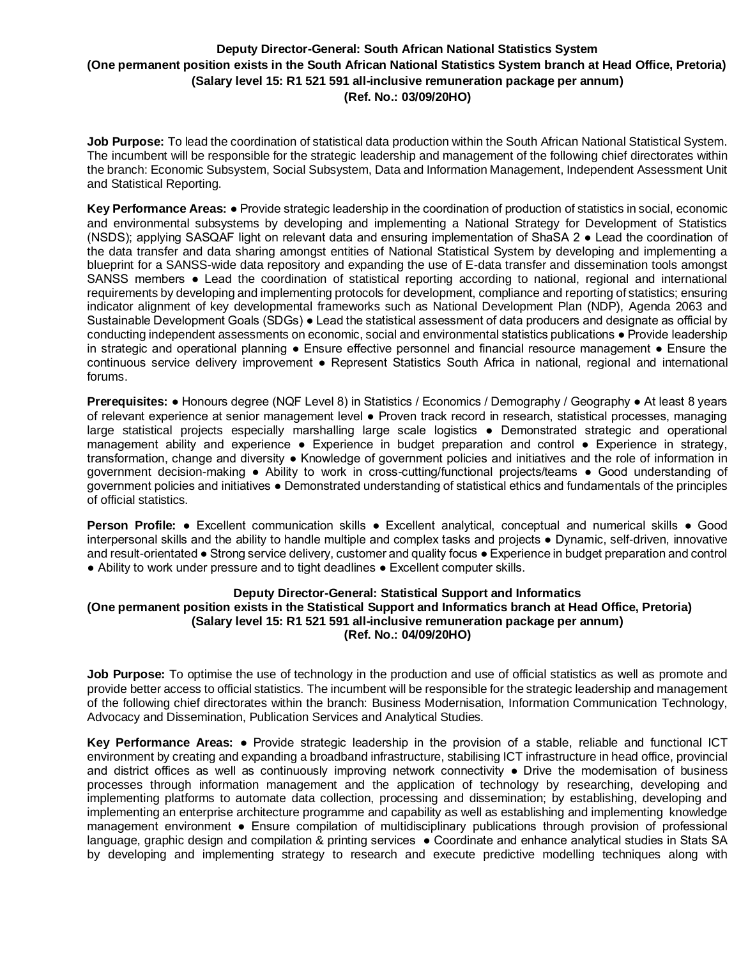# **Deputy Director-General: South African National Statistics System (One permanent position exists in the South African National Statistics System branch at Head Office, Pretoria) (Salary level 15: R1 521 591 all-inclusive remuneration package per annum) (Ref. No.: 03/09/20HO)**

**Job Purpose:** To lead the coordination of statistical data production within the South African National Statistical System. The incumbent will be responsible for the strategic leadership and management of the following chief directorates within the branch: Economic Subsystem, Social Subsystem, Data and Information Management, Independent Assessment Unit and Statistical Reporting.

**Key Performance Areas:** ● Provide strategic leadership in the coordination of production of statistics in social, economic and environmental subsystems by developing and implementing a National Strategy for Development of Statistics (NSDS); applying SASQAF light on relevant data and ensuring implementation of ShaSA 2 ● Lead the coordination of the data transfer and data sharing amongst entities of National Statistical System by developing and implementing a blueprint for a SANSS-wide data repository and expanding the use of E-data transfer and dissemination tools amongst SANSS members ● Lead the coordination of statistical reporting according to national, regional and international requirements by developing and implementing protocols for development, compliance and reporting of statistics; ensuring indicator alignment of key developmental frameworks such as National Development Plan (NDP), Agenda 2063 and Sustainable Development Goals (SDGs) ● Lead the statistical assessment of data producers and designate as official by conducting independent assessments on economic, social and environmental statistics publications ● Provide leadership in strategic and operational planning ● Ensure effective personnel and financial resource management ● Ensure the continuous service delivery improvement • Represent Statistics South Africa in national, regional and international forums.

**Prerequisites:** ● Honours degree (NQF Level 8) in Statistics / Economics / Demography / Geography ● At least 8 years of relevant experience at senior management level ● Proven track record in research, statistical processes, managing large statistical projects especially marshalling large scale logistics ● Demonstrated strategic and operational management ability and experience • Experience in budget preparation and control • Experience in strategy, transformation, change and diversity ● Knowledge of government policies and initiatives and the role of information in government decision-making ● Ability to work in cross-cutting/functional projects/teams ● Good understanding of government policies and initiatives ● Demonstrated understanding of statistical ethics and fundamentals of the principles of official statistics.

**Person Profile:** ● Excellent communication skills ● Excellent analytical, conceptual and numerical skills ● Good interpersonal skills and the ability to handle multiple and complex tasks and projects ● Dynamic, self-driven, innovative and result-orientated ● Strong service delivery, customer and quality focus ● Experience in budget preparation and control ● Ability to work under pressure and to tight deadlines ● Excellent computer skills.

### **Deputy Director-General: Statistical Support and Informatics (One permanent position exists in the Statistical Support and Informatics branch at Head Office, Pretoria) (Salary level 15: R1 521 591 all-inclusive remuneration package per annum) (Ref. No.: 04/09/20HO)**

**Job Purpose:** To optimise the use of technology in the production and use of official statistics as well as promote and provide better access to official statistics. The incumbent will be responsible for the strategic leadership and management of the following chief directorates within the branch: Business Modernisation, Information Communication Technology, Advocacy and Dissemination, Publication Services and Analytical Studies.

**Key Performance Areas:** ● Provide strategic leadership in the provision of a stable, reliable and functional ICT environment by creating and expanding a broadband infrastructure, stabilising ICT infrastructure in head office, provincial and district offices as well as continuously improving network connectivity ● Drive the modernisation of business processes through information management and the application of technology by researching, developing and implementing platforms to automate data collection, processing and dissemination; by establishing, developing and implementing an enterprise architecture programme and capability as well as establishing and implementing knowledge management environment ● Ensure compilation of multidisciplinary publications through provision of professional language, graphic design and compilation & printing services ● Coordinate and enhance analytical studies in Stats SA by developing and implementing strategy to research and execute predictive modelling techniques along with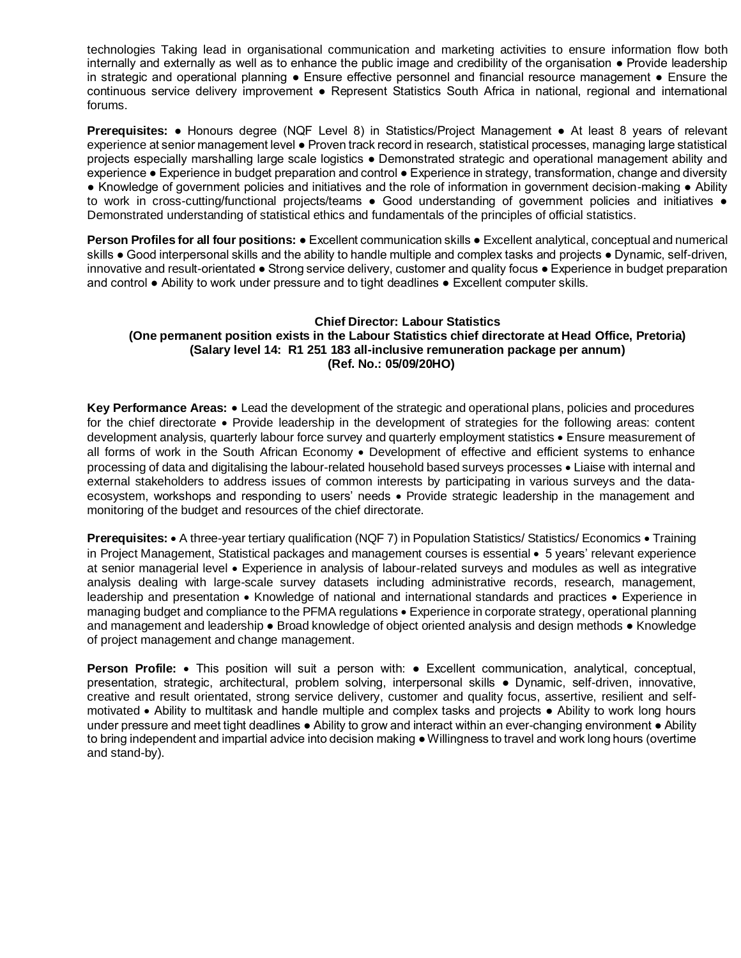technologies Taking lead in organisational communication and marketing activities to ensure information flow both internally and externally as well as to enhance the public image and credibility of the organisation ● Provide leadership in strategic and operational planning ● Ensure effective personnel and financial resource management ● Ensure the continuous service delivery improvement ● Represent Statistics South Africa in national, regional and international forums.

**Prerequisites:** ● Honours degree (NQF Level 8) in Statistics/Project Management ● At least 8 years of relevant experience at senior management level ● Proven track record in research, statistical processes, managing large statistical projects especially marshalling large scale logistics ● Demonstrated strategic and operational management ability and experience • Experience in budget preparation and control • Experience in strategy, transformation, change and diversity ● Knowledge of government policies and initiatives and the role of information in government decision-making ● Ability to work in cross-cutting/functional projects/teams • Good understanding of government policies and initiatives • Demonstrated understanding of statistical ethics and fundamentals of the principles of official statistics.

**Person Profiles for all four positions:** ● Excellent communication skills ● Excellent analytical, conceptual and numerical skills • Good interpersonal skills and the ability to handle multiple and complex tasks and projects • Dynamic, self-driven, innovative and result-orientated ● Strong service delivery, customer and quality focus ● Experience in budget preparation and control ● Ability to work under pressure and to tight deadlines ● Excellent computer skills.

## **Chief Director: Labour Statistics (One permanent position exists in the Labour Statistics chief directorate at Head Office, Pretoria) (Salary level 14: R1 251 183 all-inclusive remuneration package per annum) (Ref. No.: 05/09/20HO)**

**Key Performance Areas:**  $\bullet$  Lead the development of the strategic and operational plans, policies and procedures for the chief directorate Provide leadership in the development of strategies for the following areas: content development analysis, quarterly labour force survey and quarterly employment statistics • Ensure measurement of all forms of work in the South African Economy . Development of effective and efficient systems to enhance processing of data and digitalising the labour-related household based surveys processes • Liaise with internal and external stakeholders to address issues of common interests by participating in various surveys and the dataecosystem, workshops and responding to users' needs • Provide strategic leadership in the management and monitoring of the budget and resources of the chief directorate.

**Prerequisites:** • A three-year tertiary qualification (NQF 7) in Population Statistics/ Statistics/ Economics • Training in Project Management, Statistical packages and management courses is essential • 5 years' relevant experience at senior managerial level Experience in analysis of labour-related surveys and modules as well as integrative analysis dealing with large-scale survey datasets including administrative records, research, management, leadership and presentation • Knowledge of national and international standards and practices • Experience in managing budget and compliance to the PFMA regulations Experience in corporate strategy, operational planning and management and leadership • Broad knowledge of object oriented analysis and design methods • Knowledge of project management and change management.

**Person Profile:** This position will suit a person with: ● Excellent communication, analytical, conceptual, presentation, strategic, architectural, problem solving, interpersonal skills ● Dynamic, self-driven, innovative, creative and result orientated, strong service delivery, customer and quality focus, assertive, resilient and selfmotivated Ability to multitask and handle multiple and complex tasks and projects ● Ability to work long hours under pressure and meet tight deadlines ● Ability to grow and interact within an ever-changing environment ● Ability to bring independent and impartial advice into decision making ● Willingness to travel and work long hours (overtime and stand-by).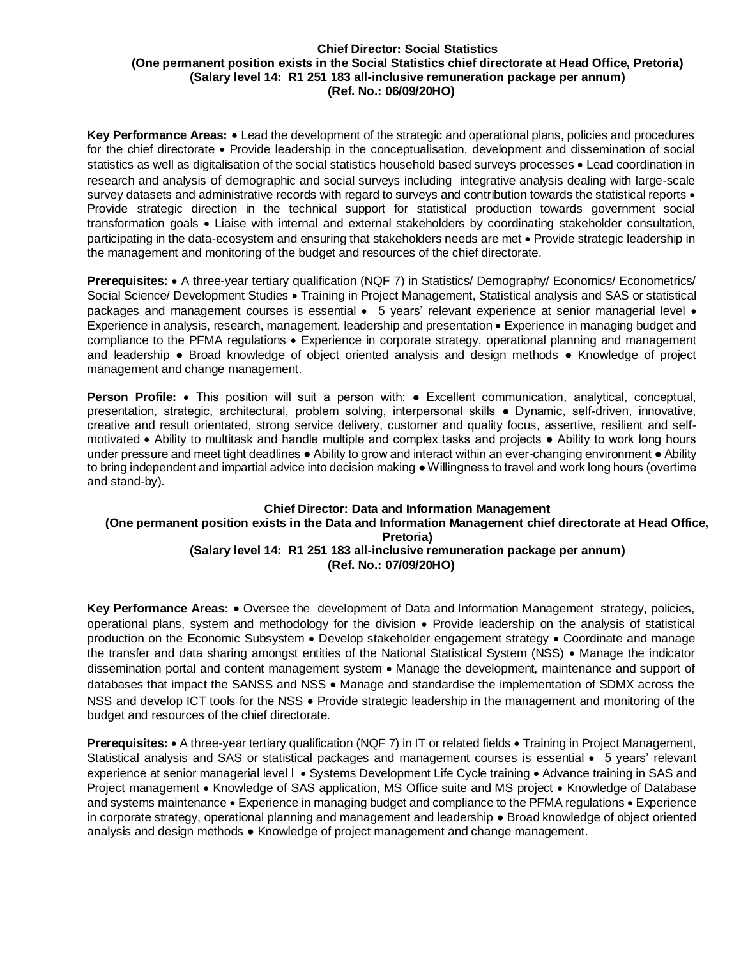#### **Chief Director: Social Statistics (One permanent position exists in the Social Statistics chief directorate at Head Office, Pretoria) (Salary level 14: R1 251 183 all-inclusive remuneration package per annum) (Ref. No.: 06/09/20HO)**

**Key Performance Areas:** Lead the development of the strategic and operational plans, policies and procedures for the chief directorate • Provide leadership in the conceptualisation, development and dissemination of social statistics as well as digitalisation of the social statistics household based surveys processes • Lead coordination in research and analysis of demographic and social surveys including integrative analysis dealing with large-scale survey datasets and administrative records with regard to surveys and contribution towards the statistical reports  $\bullet$ Provide strategic direction in the technical support for statistical production towards government social transformation goals Liaise with internal and external stakeholders by coordinating stakeholder consultation, participating in the data-ecosystem and ensuring that stakeholders needs are met Provide strategic leadership in the management and monitoring of the budget and resources of the chief directorate.

**Prerequisites:** • A three-year tertiary qualification (NQF 7) in Statistics/ Demography/ Economics/ Econometrics/ Social Science/ Development Studies • Training in Project Management, Statistical analysis and SAS or statistical packages and management courses is essential • 5 years' relevant experience at senior managerial level • Experience in analysis, research, management, leadership and presentation • Experience in managing budget and compliance to the PFMA regulations • Experience in corporate strategy, operational planning and management and leadership ● Broad knowledge of object oriented analysis and design methods ● Knowledge of project management and change management.

**Person Profile:** This position will suit a person with: ● Excellent communication, analytical, conceptual, presentation, strategic, architectural, problem solving, interpersonal skills ● Dynamic, self-driven, innovative, creative and result orientated, strong service delivery, customer and quality focus, assertive, resilient and selfmotivated Ability to multitask and handle multiple and complex tasks and projects ● Ability to work long hours under pressure and meet tight deadlines • Ability to grow and interact within an ever-changing environment • Ability to bring independent and impartial advice into decision making ● Willingness to travel and work long hours (overtime and stand-by).

### **Chief Director: Data and Information Management (One permanent position exists in the Data and Information Management chief directorate at Head Office, Pretoria) (Salary level 14: R1 251 183 all-inclusive remuneration package per annum) (Ref. No.: 07/09/20HO)**

**Key Performance Areas:** • Oversee the development of Data and Information Management strategy, policies, operational plans, system and methodology for the division Provide leadership on the analysis of statistical production on the Economic Subsystem • Develop stakeholder engagement strategy • Coordinate and manage the transfer and data sharing amongst entities of the National Statistical System (NSS) • Manage the indicator dissemination portal and content management system • Manage the development, maintenance and support of databases that impact the SANSS and NSS  $\bullet$  Manage and standardise the implementation of SDMX across the NSS and develop ICT tools for the NSS • Provide strategic leadership in the management and monitoring of the budget and resources of the chief directorate.

**Prerequisites:** • A three-year tertiary qualification (NQF 7) in IT or related fields • Training in Project Management, Statistical analysis and SAS or statistical packages and management courses is essential • 5 years' relevant experience at senior managerial level  $\cdot$  Systems Development Life Cycle training  $\cdot$  Advance training in SAS and Project management • Knowledge of SAS application, MS Office suite and MS project • Knowledge of Database and systems maintenance . Experience in managing budget and compliance to the PFMA regulations . Experience in corporate strategy, operational planning and management and leadership ● Broad knowledge of object oriented analysis and design methods ● Knowledge of project management and change management.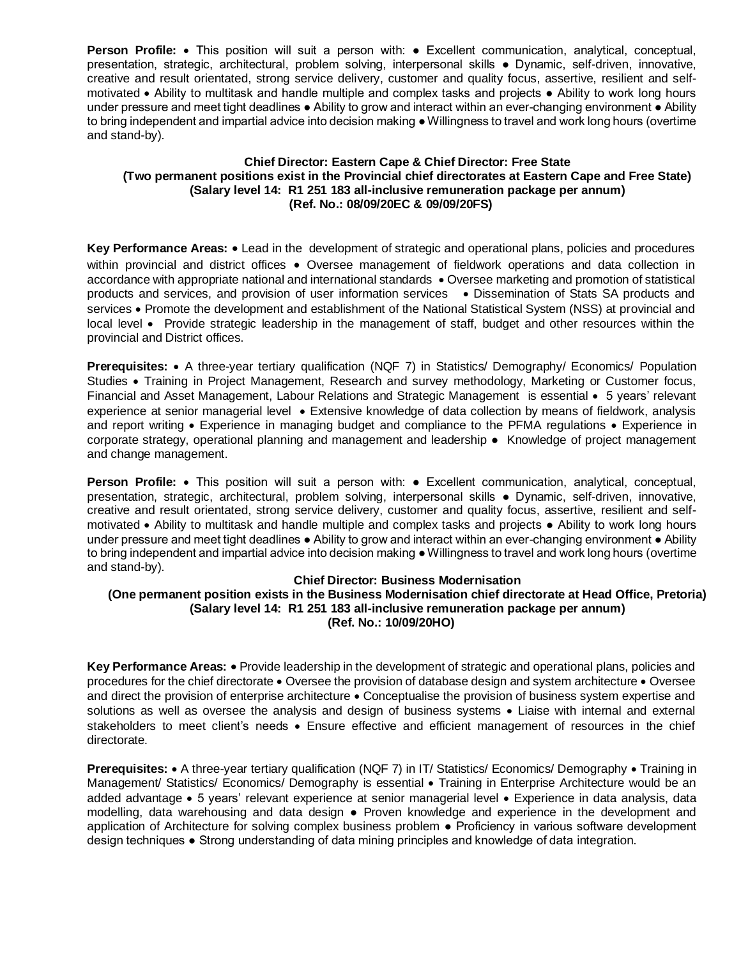**Person Profile:** This position will suit a person with: ● Excellent communication, analytical, conceptual, presentation, strategic, architectural, problem solving, interpersonal skills ● Dynamic, self-driven, innovative, creative and result orientated, strong service delivery, customer and quality focus, assertive, resilient and selfmotivated • Ability to multitask and handle multiple and complex tasks and projects • Ability to work long hours under pressure and meet tight deadlines ● Ability to grow and interact within an ever-changing environment ● Ability to bring independent and impartial advice into decision making ● Willingness to travel and work long hours (overtime and stand-by).

## **Chief Director: Eastern Cape & Chief Director: Free State (Two permanent positions exist in the Provincial chief directorates at Eastern Cape and Free State) (Salary level 14: R1 251 183 all-inclusive remuneration package per annum) (Ref. No.: 08/09/20EC & 09/09/20FS)**

**Key Performance Areas:** Lead in the development of strategic and operational plans, policies and procedures within provincial and district offices • Oversee management of fieldwork operations and data collection in accordance with appropriate national and international standards • Oversee marketing and promotion of statistical products and services, and provision of user information services . Dissemination of Stats SA products and services • Promote the development and establishment of the National Statistical System (NSS) at provincial and local level • Provide strategic leadership in the management of staff, budget and other resources within the provincial and District offices.

**Prerequisites:** • A three-year tertiary qualification (NQF 7) in Statistics/ Demography/ Economics/ Population Studies Training in Project Management, Research and survey methodology, Marketing or Customer focus, Financial and Asset Management, Labour Relations and Strategic Management is essential • 5 years' relevant experience at senior managerial level Extensive knowledge of data collection by means of fieldwork, analysis and report writing • Experience in managing budget and compliance to the PFMA regulations • Experience in corporate strategy, operational planning and management and leadership • Knowledge of project management and change management.

**Person Profile:** This position will suit a person with: ● Excellent communication, analytical, conceptual, presentation, strategic, architectural, problem solving, interpersonal skills ● Dynamic, self-driven, innovative, creative and result orientated, strong service delivery, customer and quality focus, assertive, resilient and selfmotivated Ability to multitask and handle multiple and complex tasks and projects ● Ability to work long hours under pressure and meet tight deadlines ● Ability to grow and interact within an ever-changing environment ● Ability to bring independent and impartial advice into decision making ● Willingness to travel and work long hours (overtime and stand-by).

#### **Chief Director: Business Modernisation (One permanent position exists in the Business Modernisation chief directorate at Head Office, Pretoria) (Salary level 14: R1 251 183 all-inclusive remuneration package per annum) (Ref. No.: 10/09/20HO)**

**Key Performance Areas:** Provide leadership in the development of strategic and operational plans, policies and procedures for the chief directorate • Oversee the provision of database design and system architecture • Oversee and direct the provision of enterprise architecture • Conceptualise the provision of business system expertise and solutions as well as oversee the analysis and design of business systems • Liaise with internal and external stakeholders to meet client's needs • Ensure effective and efficient management of resources in the chief directorate.

**Prerequisites:** • A three-year tertiary qualification (NQF 7) in IT/ Statistics/ Economics/ Demography • Training in Management/ Statistics/ Economics/ Demography is essential • Training in Enterprise Architecture would be an added advantage • 5 years' relevant experience at senior managerial level • Experience in data analysis, data modelling, data warehousing and data design ● Proven knowledge and experience in the development and application of Architecture for solving complex business problem ● Proficiency in various software development design techniques ● Strong understanding of data mining principles and knowledge of data integration.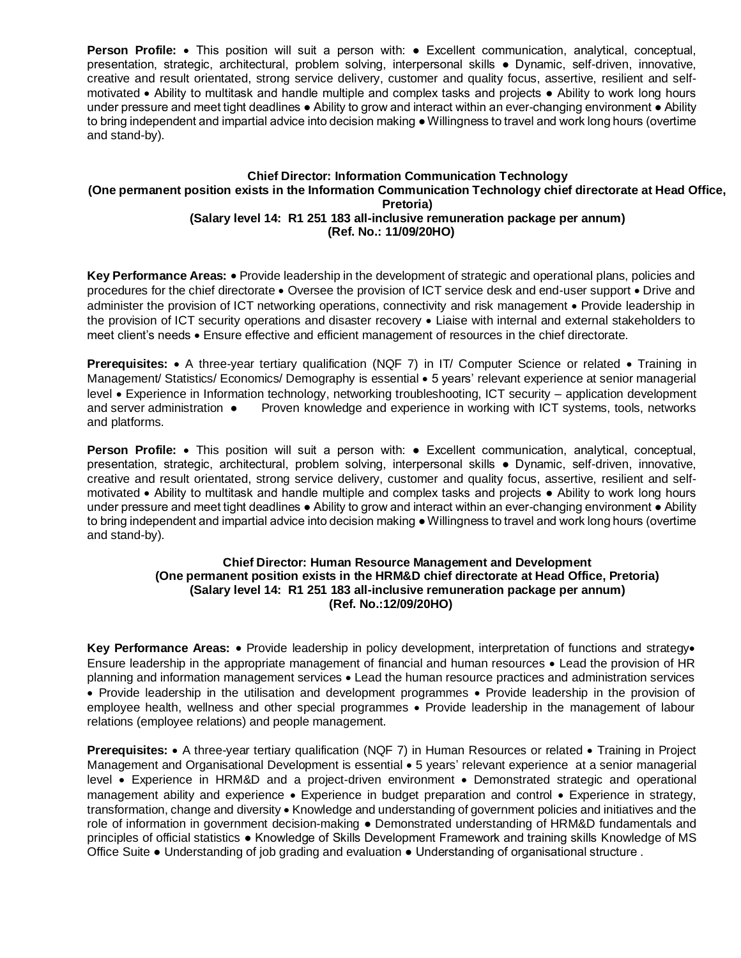**Person Profile:** This position will suit a person with: ● Excellent communication, analytical, conceptual, presentation, strategic, architectural, problem solving, interpersonal skills ● Dynamic, self-driven, innovative, creative and result orientated, strong service delivery, customer and quality focus, assertive, resilient and selfmotivated • Ability to multitask and handle multiple and complex tasks and projects • Ability to work long hours under pressure and meet tight deadlines ● Ability to grow and interact within an ever-changing environment ● Ability to bring independent and impartial advice into decision making ● Willingness to travel and work long hours (overtime and stand-by).

### **Chief Director: Information Communication Technology (One permanent position exists in the Information Communication Technology chief directorate at Head Office, Pretoria) (Salary level 14: R1 251 183 all-inclusive remuneration package per annum) (Ref. No.: 11/09/20HO)**

**Key Performance Areas:** Provide leadership in the development of strategic and operational plans, policies and procedures for the chief directorate  $\bullet$  Oversee the provision of ICT service desk and end-user support  $\bullet$  Drive and administer the provision of ICT networking operations, connectivity and risk management • Provide leadership in the provision of ICT security operations and disaster recovery • Liaise with internal and external stakeholders to meet client's needs Ensure effective and efficient management of resources in the chief directorate.

Prerequisites: • A three-year tertiary qualification (NQF 7) in IT/ Computer Science or related • Training in Management/ Statistics/ Economics/ Demography is essential • 5 years' relevant experience at senior managerial level Experience in Information technology, networking troubleshooting, ICT security – application development and server administration ● Proven knowledge and experience in working with ICT systems, tools, networks and platforms.

**Person Profile:** • This position will suit a person with: • Excellent communication, analytical, conceptual, presentation, strategic, architectural, problem solving, interpersonal skills ● Dynamic, self-driven, innovative, creative and result orientated, strong service delivery, customer and quality focus, assertive, resilient and selfmotivated Ability to multitask and handle multiple and complex tasks and projects ● Ability to work long hours under pressure and meet tight deadlines • Ability to grow and interact within an ever-changing environment • Ability to bring independent and impartial advice into decision making ● Willingness to travel and work long hours (overtime and stand-by).

## **Chief Director: Human Resource Management and Development (One permanent position exists in the HRM&D chief directorate at Head Office, Pretoria) (Salary level 14: R1 251 183 all-inclusive remuneration package per annum) (Ref. No.:12/09/20HO)**

Key Performance Areas: • Provide leadership in policy development, interpretation of functions and strategy• Ensure leadership in the appropriate management of financial and human resources Lead the provision of HR planning and information management services Lead the human resource practices and administration services • Provide leadership in the utilisation and development programmes • Provide leadership in the provision of employee health, wellness and other special programmes • Provide leadership in the management of labour relations (employee relations) and people management.

**Prerequisites:** • A three-year tertiary qualification (NQF 7) in Human Resources or related • Training in Project Management and Organisational Development is essential • 5 years' relevant experience at a senior managerial level Experience in HRM&D and a project-driven environment Demonstrated strategic and operational management ability and experience • Experience in budget preparation and control • Experience in strategy, transformation, change and diversity • Knowledge and understanding of government policies and initiatives and the role of information in government decision-making ● Demonstrated understanding of HRM&D fundamentals and principles of official statistics ● Knowledge of Skills Development Framework and training skills Knowledge of MS Office Suite ● Understanding of job grading and evaluation ● Understanding of organisational structure .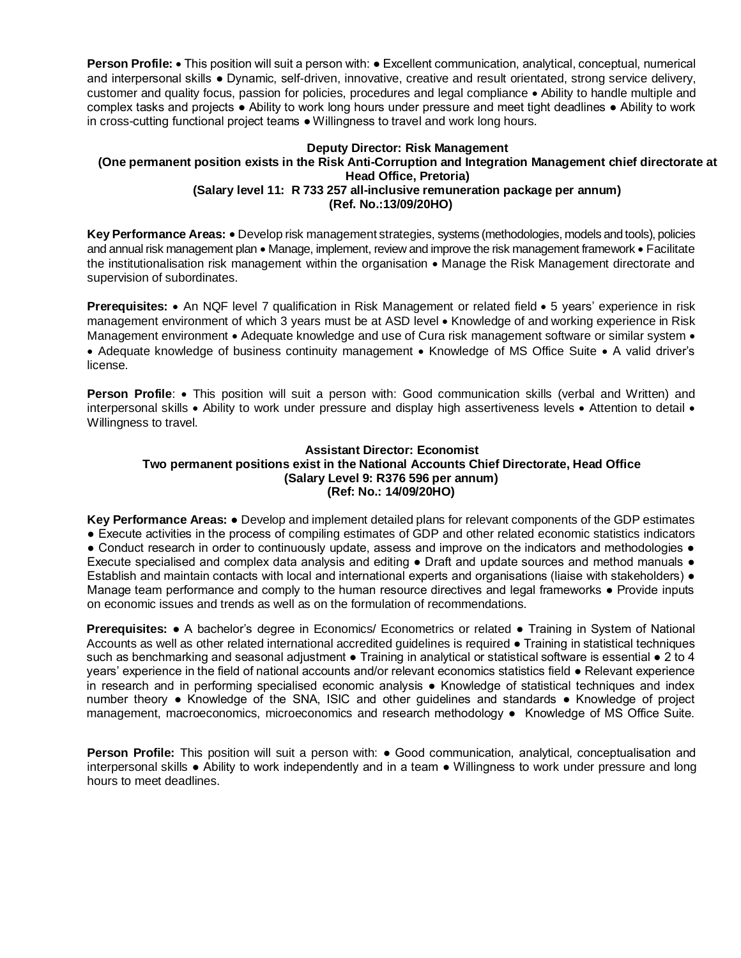**Person Profile: •** This position will suit a person with: • Excellent communication, analytical, conceptual, numerical and interpersonal skills ● Dynamic, self-driven, innovative, creative and result orientated, strong service delivery, customer and quality focus, passion for policies, procedures and legal compliance Ability to handle multiple and complex tasks and projects ● Ability to work long hours under pressure and meet tight deadlines ● Ability to work in cross-cutting functional project teams ● Willingness to travel and work long hours.

# **Deputy Director: Risk Management**

#### **(One permanent position exists in the Risk Anti-Corruption and Integration Management chief directorate at Head Office, Pretoria) (Salary level 11: R 733 257 all-inclusive remuneration package per annum)**

**(Ref. No.:13/09/20HO)** 

Key Performance Areas: • Develop risk management strategies, systems (methodologies, models and tools), policies and annual risk management plan • Manage, implement, review and improve the risk management framework • Facilitate the institutionalisation risk management within the organisation  $\bullet$  Manage the Risk Management directorate and supervision of subordinates.

**Prerequisites:** • An NQF level 7 qualification in Risk Management or related field • 5 years' experience in risk management environment of which 3 years must be at ASD level • Knowledge of and working experience in Risk Management environment • Adequate knowledge and use of Cura risk management software or similar system • • Adequate knowledge of business continuity management • Knowledge of MS Office Suite • A valid driver's license.

**Person Profile:** • This position will suit a person with: Good communication skills (verbal and Written) and interpersonal skills • Ability to work under pressure and display high assertiveness levels • Attention to detail • Willingness to travel.

## **Assistant Director: Economist Two permanent positions exist in the National Accounts Chief Directorate, Head Office (Salary Level 9: R376 596 per annum) (Ref: No.: 14/09/20HO)**

**Key Performance Areas:** ● Develop and implement detailed plans for relevant components of the GDP estimates ● Execute activities in the process of compiling estimates of GDP and other related economic statistics indicators • Conduct research in order to continuously update, assess and improve on the indicators and methodologies • Execute specialised and complex data analysis and editing ● Draft and update sources and method manuals ● Establish and maintain contacts with local and international experts and organisations (liaise with stakeholders) ● Manage team performance and comply to the human resource directives and legal frameworks ● Provide inputs on economic issues and trends as well as on the formulation of recommendations.

**Prerequisites: •** A bachelor's degree in Economics/ Econometrics or related • Training in System of National Accounts as well as other related international accredited guidelines is required ● Training in statistical techniques such as benchmarking and seasonal adjustment • Training in analytical or statistical software is essential • 2 to 4 years' experience in the field of national accounts and/or relevant economics statistics field ● Relevant experience in research and in performing specialised economic analysis ● Knowledge of statistical techniques and index number theory ● Knowledge of the SNA, ISIC and other guidelines and standards ● Knowledge of project management, macroeconomics, microeconomics and research methodology ● Knowledge of MS Office Suite.

**Person Profile:** This position will suit a person with: ● Good communication, analytical, conceptualisation and interpersonal skills ● Ability to work independently and in a team ● Willingness to work under pressure and long hours to meet deadlines.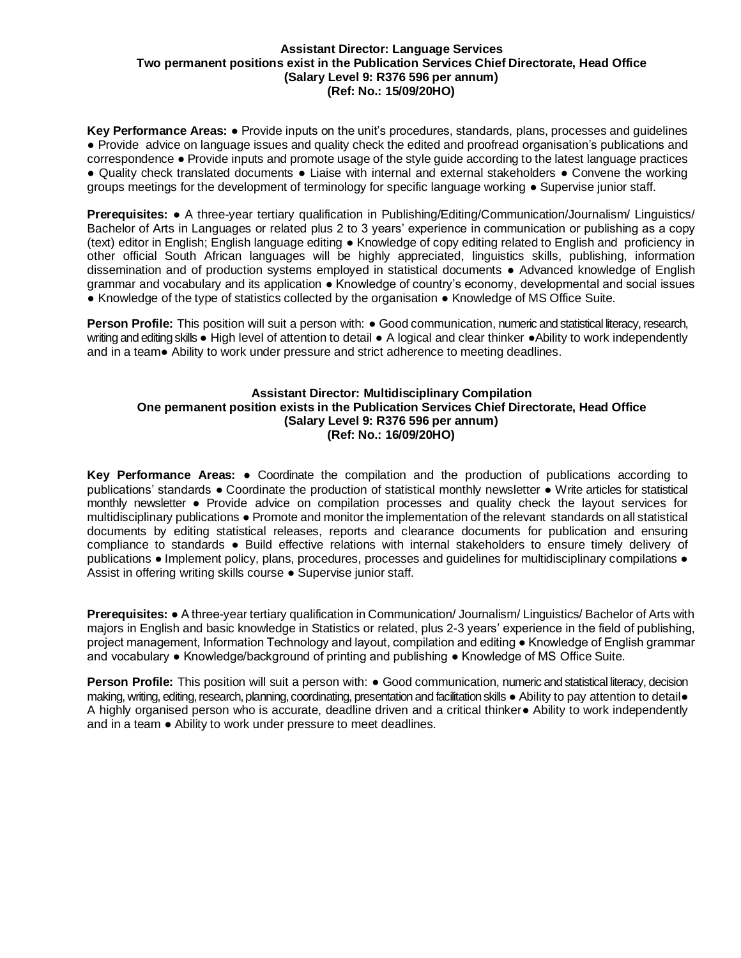#### **Assistant Director: Language Services Two permanent positions exist in the Publication Services Chief Directorate, Head Office (Salary Level 9: R376 596 per annum) (Ref: No.: 15/09/20HO)**

**Key Performance Areas:** ● Provide inputs on the unit's procedures, standards, plans, processes and guidelines ● Provide advice on language issues and quality check the edited and proofread organisation's publications and correspondence ● Provide inputs and promote usage of the style guide according to the latest language practices ● Quality check translated documents ● Liaise with internal and external stakeholders ● Convene the working groups meetings for the development of terminology for specific language working ● Supervise junior staff.

**Prerequisites:** ● A three-year tertiary qualification in Publishing/Editing/Communication/Journalism/ Linguistics/ Bachelor of Arts in Languages or related plus 2 to 3 years' experience in communication or publishing as a copy (text) editor in English; English language editing ● Knowledge of copy editing related to English and proficiency in other official South African languages will be highly appreciated, linguistics skills, publishing, information dissemination and of production systems employed in statistical documents ● Advanced knowledge of English grammar and vocabulary and its application ● Knowledge of country's economy, developmental and social issues ● Knowledge of the type of statistics collected by the organisation ● Knowledge of MS Office Suite.

**Person Profile:** This position will suit a person with: ● Good communication, numeric and statistical literacy, research, writing and editing skills • High level of attention to detail • A logical and clear thinker • Ability to work independently and in a team● Ability to work under pressure and strict adherence to meeting deadlines.

## **Assistant Director: Multidisciplinary Compilation One permanent position exists in the Publication Services Chief Directorate, Head Office (Salary Level 9: R376 596 per annum) (Ref: No.: 16/09/20HO)**

**Key Performance Areas:** ● Coordinate the compilation and the production of publications according to publications' standards ● Coordinate the production of statistical monthly newsletter ● Write articles for statistical monthly newsletter ● Provide advice on compilation processes and quality check the layout services for multidisciplinary publications ● Promote and monitor the implementation of the relevant standards on all statistical documents by editing statistical releases, reports and clearance documents for publication and ensuring compliance to standards ● Build effective relations with internal stakeholders to ensure timely delivery of publications ● Implement policy, plans, procedures, processes and guidelines for multidisciplinary compilations ● Assist in offering writing skills course ● Supervise junior staff.

**Prerequisites:** ● A three-year tertiary qualification in Communication/ Journalism/ Linguistics/ Bachelor of Arts with majors in English and basic knowledge in Statistics or related, plus 2-3 years' experience in the field of publishing, project management, Information Technology and layout, compilation and editing ● Knowledge of English grammar and vocabulary ● Knowledge/background of printing and publishing ● Knowledge of MS Office Suite.

**Person Profile:** This position will suit a person with: ● Good communication, numeric and statistical literacy, decision making, writing, editing, research, planning, coordinating, presentation and facilitation skills ● Ability to pay attention to detail● A highly organised person who is accurate, deadline driven and a critical thinker● Ability to work independently and in a team • Ability to work under pressure to meet deadlines.